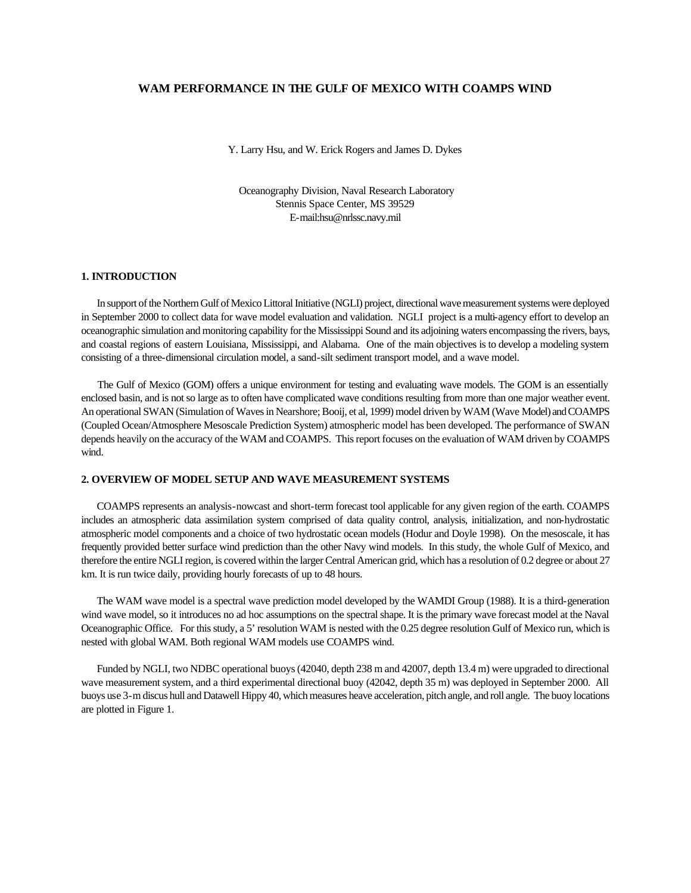## **WAM PERFORMANCE IN THE GULF OF MEXICO WITH COAMPS WIND**

Y. Larry Hsu, and W. Erick Rogers and James D. Dykes

Oceanography Division, Naval Research Laboratory Stennis Space Center, MS 39529 E-mail:hsu@nrlssc.navy.mil

### **1. INTRODUCTION**

In support of the Northern Gulf of Mexico Littoral Initiative (NGLI) project, directional wave measurement systems were deployed in September 2000 to collect data for wave model evaluation and validation. NGLI project is a multi-agency effort to develop an oceanographic simulation and monitoring capability for the Mississippi Sound and its adjoining waters encompassing the rivers, bays, and coastal regions of eastern Louisiana, Mississippi, and Alabama. One of the main objectives is to develop a modeling system consisting of a three-dimensional circulation model, a sand-silt sediment transport model, and a wave model.

 The Gulf of Mexico (GOM) offers a unique environment for testing and evaluating wave models. The GOM is an essentially enclosed basin, and is not so large as to often have complicated wave conditions resulting from more than one major weather event. An operational SWAN (Simulation of Waves in Nearshore; Booij, et al, 1999) model driven by WAM (Wave Model) and COAMPS (Coupled Ocean/Atmosphere Mesoscale Prediction System) atmospheric model has been developed. The performance of SWAN depends heavily on the accuracy of the WAM and COAMPS. This report focuses on the evaluation of WAM driven by COAMPS wind.

## **2. OVERVIEW OF MODEL SETUP AND WAVE MEASUREMENT SYSTEMS**

COAMPS represents an analysis-nowcast and short-term forecast tool applicable for any given region of the earth. COAMPS includes an atmospheric data assimilation system comprised of data quality control, analysis, initialization, and non-hydrostatic atmospheric model components and a choice of two hydrostatic ocean models (Hodur and Doyle 1998). On the mesoscale, it has frequently provided better surface wind prediction than the other Navy wind models. In this study, the whole Gulf of Mexico, and therefore the entire NGLI region, is covered within the larger Central American grid, which has a resolution of 0.2 degree or about 27 km. It is run twice daily, providing hourly forecasts of up to 48 hours.

The WAM wave model is a spectral wave prediction model developed by the WAMDI Group (1988). It is a third-generation wind wave model, so it introduces no ad hoc assumptions on the spectral shape. It is the primary wave forecast model at the Naval Oceanographic Office. For this study, a 5' resolution WAM is nested with the 0.25 degree resolution Gulf of Mexico run, which is nested with global WAM. Both regional WAM models use COAMPS wind.

Funded by NGLI, two NDBC operational buoys (42040, depth 238 m and 42007, depth 13.4 m) were upgraded to directional wave measurement system, and a third experimental directional buoy (42042, depth 35 m) was deployed in September 2000. All buoys use 3-m discus hull and Datawell Hippy 40, which measures heave acceleration, pitch angle, and roll angle. The buoy locations are plotted in Figure 1.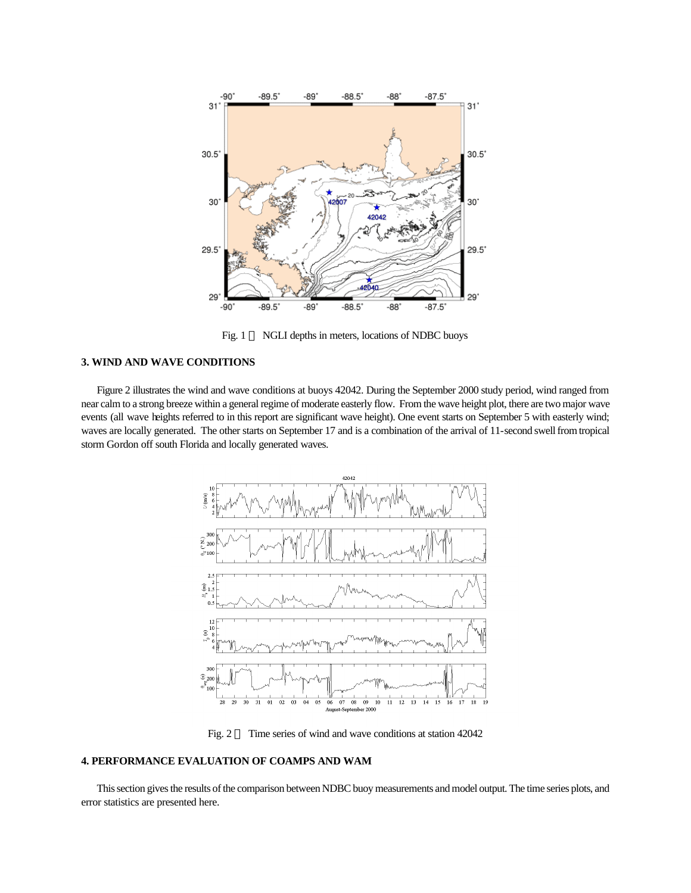

Fig. 1 **¾** NGLI depths in meters, locations of NDBC buoys

## **3. WIND AND WAVE CONDITIONS**

Figure 2 illustrates the wind and wave conditions at buoys 42042. During the September 2000 study period, wind ranged from near calm to a strong breeze within a general regime of moderate easterly flow. From the wave height plot, there are two major wave events (all wave heights referred to in this report are significant wave height). One event starts on September 5 with easterly wind; waves are locally generated. The other starts on September 17 and is a combination of the arrival of 11-second swell from tropical storm Gordon off south Florida and locally generated waves.



Fig. 2 **¾** Time series of wind and wave conditions at station 42042

## **4. PERFORMANCE EVALUATION OF COAMPS AND WAM**

This section gives the results of the comparison between NDBC buoy measurements and model output. The time series plots, and error statistics are presented here.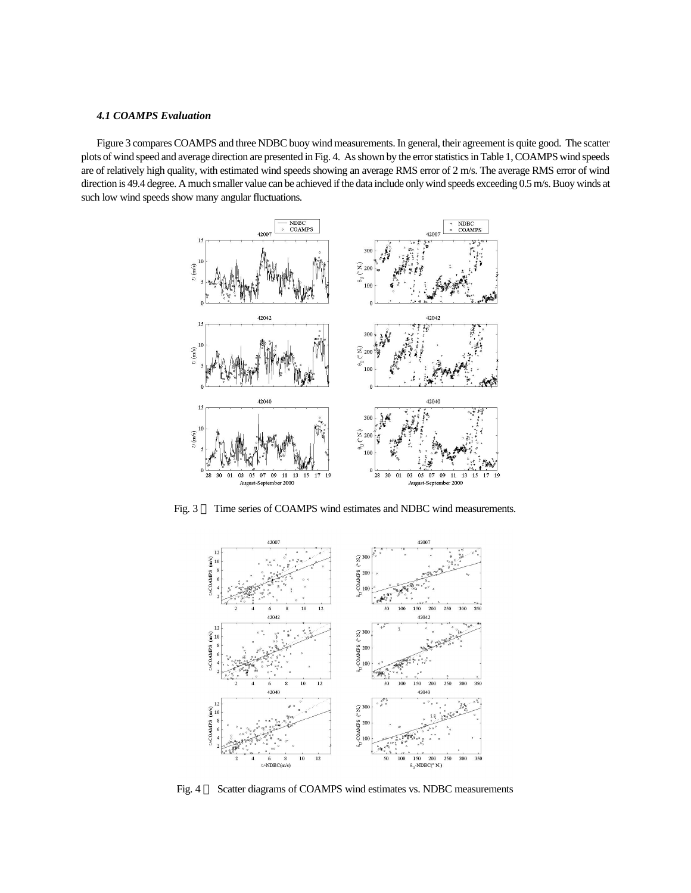#### *4.1 COAMPS Evaluation*

Figure 3 compares COAMPS and three NDBC buoy wind measurements. In general, their agreement is quite good. The scatter plots of wind speed and average direction are presented in Fig. 4. As shown by the error statistics in Table 1, COAMPS wind speeds are of relatively high quality, with estimated wind speeds showing an average RMS error of 2 m/s. The average RMS error of wind direction is 49.4 degree. A much smaller value can be achieved if the data include only wind speeds exceeding 0.5 m/s. Buoy winds at such low wind speeds show many angular fluctuations.



Fig. 3 - Time series of COAMPS wind estimates and NDBC wind measurements.



Fig. 4 **¾** Scatter diagrams of COAMPS wind estimates vs. NDBC measurements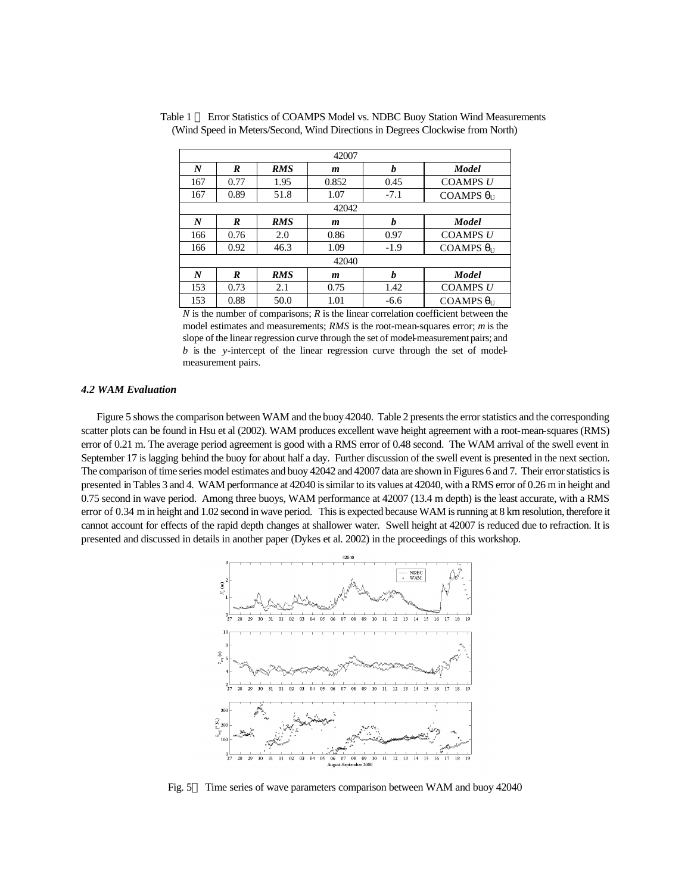| 42007            |      |            |       |        |                             |  |
|------------------|------|------------|-------|--------|-----------------------------|--|
| $\boldsymbol{N}$ | R    | <b>RMS</b> | m     | h      | <b>Model</b>                |  |
| 167              | 0.77 | 1.95       | 0.852 | 0.45   | <b>COAMPS U</b>             |  |
| 167              | 0.89 | 51.8       | 1.07  | $-7.1$ | COAMPS $\theta_{II}$        |  |
| 42042            |      |            |       |        |                             |  |
| N                | R    | <b>RMS</b> | m     | h      | <b>Model</b>                |  |
| 166              | 0.76 | 2.0        | 0.86  | 0.97   | <b>COAMPS U</b>             |  |
| 166              | 0.92 | 46.3       | 1.09  | $-1.9$ | COAMPS $\theta_{\text{II}}$ |  |
| 42040            |      |            |       |        |                             |  |
| N                | R    | <b>RMS</b> | m     | h      | <b>Model</b>                |  |
| 153              | 0.73 | 2.1        | 0.75  | 1.42   | <b>COAMPS U</b>             |  |
| 153              | 0.88 | 50.0       | 1.01  | $-6.6$ | COAMPS $\theta_{\text{II}}$ |  |

Table 1 – Error Statistics of COAMPS Model vs. NDBC Buoy Station Wind Measurements (Wind Speed in Meters/Second, Wind Directions in Degrees Clockwise from North)

*N* is the number of comparisons; *R* is the linear correlation coefficient between the model estimates and measurements; *RMS* is the root-mean-squares error; *m* is the slope of the linear regression curve through the set of model-measurement pairs; and *b* is the *y*-intercept of the linear regression curve through the set of modelmeasurement pairs.

#### *4.2 WAM Evaluation*

Figure 5 shows the comparison between WAM and the buoy 42040. Table 2 presents the error statistics and the corresponding scatter plots can be found in Hsu et al (2002). WAM produces excellent wave height agreement with a root-mean-squares (RMS) error of 0.21 m. The average period agreement is good with a RMS error of 0.48 second. The WAM arrival of the swell event in September 17 is lagging behind the buoy for about half a day. Further discussion of the swell event is presented in the next section. The comparison of time series model estimates and buoy 42042 and 42007 data are shown in Figures 6 and 7. Their error statistics is presented in Tables 3 and 4. WAM performance at 42040 is similar to its values at 42040, with a RMS error of 0.26 m in height and 0.75 second in wave period. Among three buoys, WAM performance at 42007 (13.4 m depth) is the least accurate, with a RMS error of 0.34 m in height and 1.02 second in wave period. This is expected because WAM is running at 8 km resolution, therefore it cannot account for effects of the rapid depth changes at shallower water. Swell height at 42007 is reduced due to refraction. It is presented and discussed in details in another paper (Dykes et al. 2002) in the proceedings of this workshop.



Fig. 5-Time series of wave parameters comparison between WAM and buoy 42040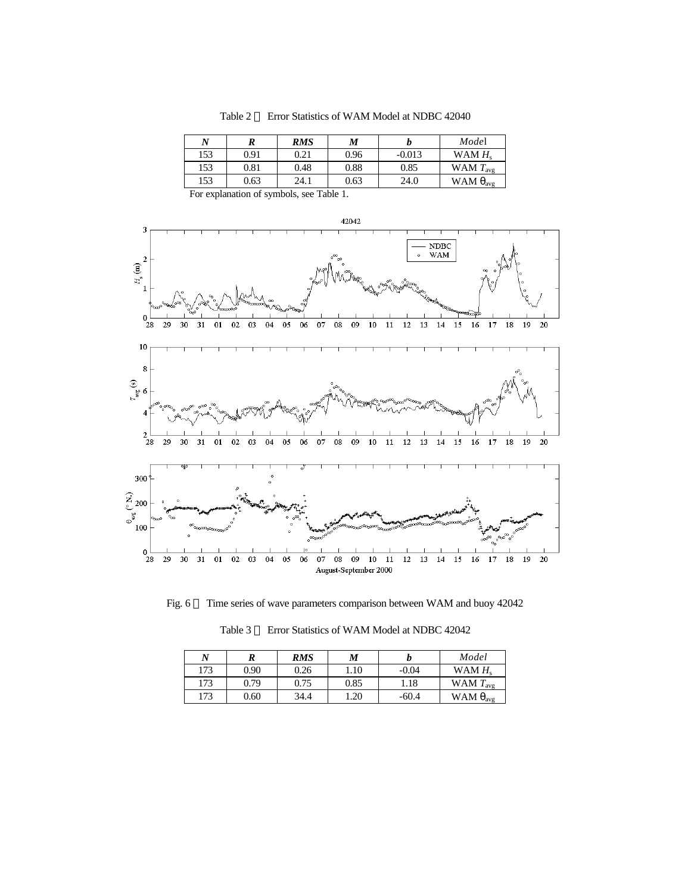Table 2 – Error Statistics of WAM Model at NDBC 42040

| N   |      | RMS  | M    |          | Model                     |
|-----|------|------|------|----------|---------------------------|
| 153 | 0.91 | 0.21 | 0.96 | $-0.013$ | WAM $H_s$                 |
| 153 | 0.81 | 0.48 | 0.88 | 0.85     | WAM $T_{\text{avg}}$      |
| 153 | 0.63 | 24.1 | 0.63 | 24.0     | WAM $\theta_{\text{avg}}$ |

For explanation of symbols, see Table 1.



Fig. 6 — Time series of wave parameters comparison between WAM and buoy 42042

| N   |      | <b>RMS</b> | M    |         | Model                     |
|-----|------|------------|------|---------|---------------------------|
| 173 | 0.90 | 0.26       | 1.10 | $-0.04$ | WAM $H_s$                 |
| 173 | 0.79 | 0.75       | 0.85 | 1.18    | WAM $T_{\text{avg}}$      |
| 173 | 0.60 | 34.4       | 1.20 | $-60.4$ | WAM $\theta_{\text{avg}}$ |

Table 3 – Error Statistics of WAM Model at NDBC 42042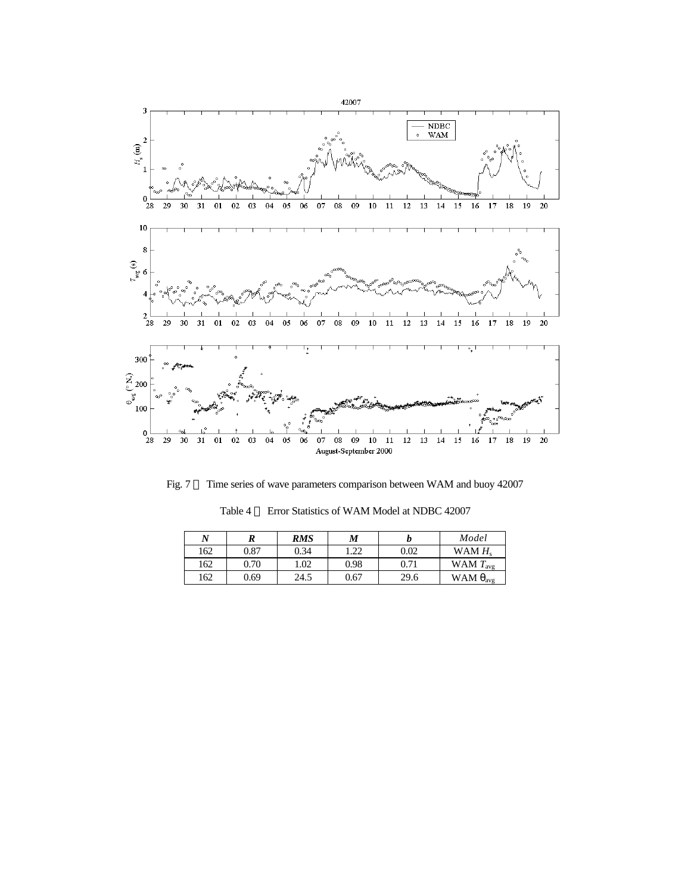

Fig. 7 – Time series of wave parameters comparison between WAM and buoy 42007

| N   | R    | <b>RMS</b> | M    |      | Model                     |
|-----|------|------------|------|------|---------------------------|
| 162 | 0.87 | 0.34       | .22  | 0.02 | WAM $Hs$                  |
| 162 | 0.70 | 1.02       | 0.98 | 0.71 | WAM $T_{\text{avg}}$      |
| 162 | 0.69 | 24.5       | 0.67 | 29.6 | WAM $\theta_{\text{avg}}$ |

Table 4 – Error Statistics of WAM Model at NDBC 42007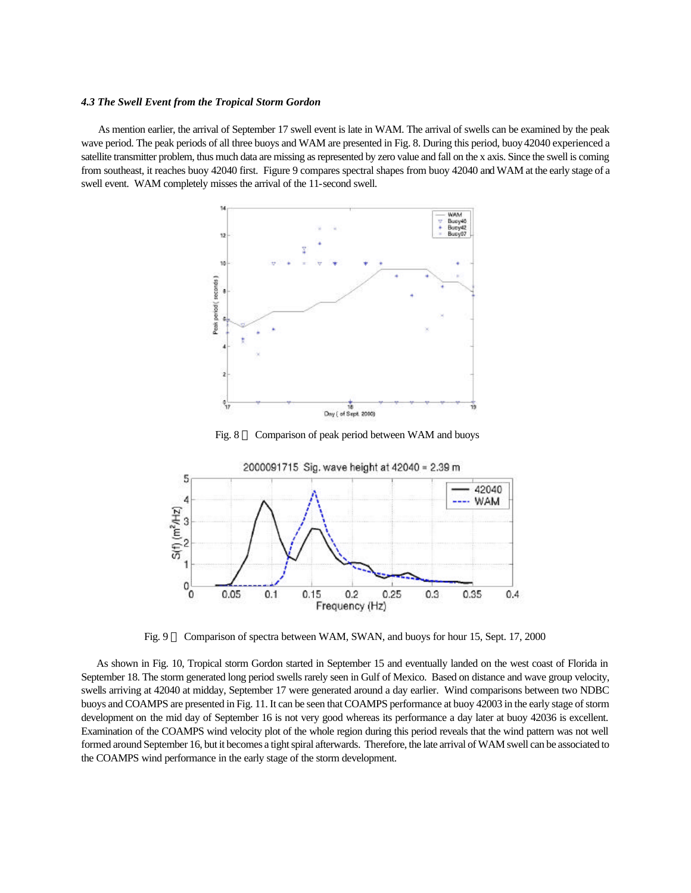#### *4.3 The Swell Event from the Tropical Storm Gordon*

 As mention earlier, the arrival of September 17 swell event is late in WAM. The arrival of swells can be examined by the peak wave period. The peak periods of all three buoys and WAM are presented in Fig. 8. During this period, buoy 42040 experienced a satellite transmitter problem, thus much data are missing as represented by zero value and fall on the x axis. Since the swell is coming from southeast, it reaches buoy 42040 first. Figure 9 compares spectral shapes from buoy 42040 and WAM at the early stage of a swell event. WAM completely misses the arrival of the 11-second swell.



Fig. 8 — Comparison of peak period between WAM and buoys



Fig. 9 — Comparison of spectra between WAM, SWAN, and buoys for hour 15, Sept. 17, 2000

 As shown in Fig. 10, Tropical storm Gordon started in September 15 and eventually landed on the west coast of Florida in September 18. The storm generated long period swells rarely seen in Gulf of Mexico. Based on distance and wave group velocity, swells arriving at 42040 at midday, September 17 were generated around a day earlier. Wind comparisons between two NDBC buoys and COAMPS are presented in Fig. 11. It can be seen that COAMPS performance at buoy 42003 in the early stage of storm development on the mid day of September 16 is not very good whereas its performance a day later at buoy 42036 is excellent. Examination of the COAMPS wind velocity plot of the whole region during this period reveals that the wind pattern was not well formed around September 16, but it becomes a tight spiral afterwards. Therefore, the late arrival of WAM swell can be associated to the COAMPS wind performance in the early stage of the storm development.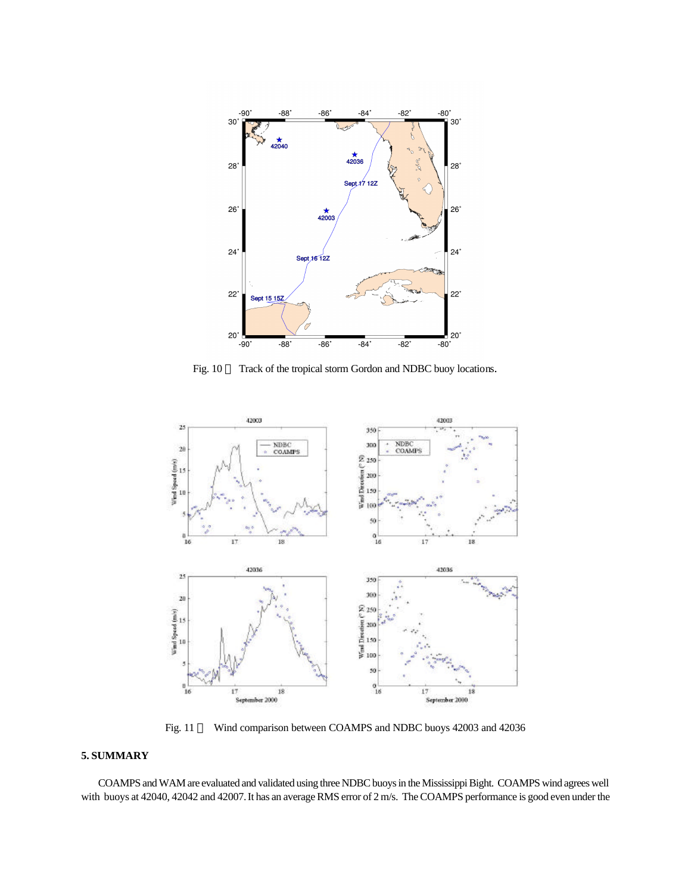

Fig. 10 **¾** Track of the tropical storm Gordon and NDBC buoy locations.



Fig. 11 **¾** Wind comparison between COAMPS and NDBC buoys 42003 and 42036

# **5. SUMMARY**

 COAMPS and WAM are evaluated and validated using three NDBC buoys in the Mississippi Bight. COAMPS wind agrees well with buoys at 42040, 42042 and 42007. It has an average RMS error of 2 m/s. The COAMPS performance is good even under the